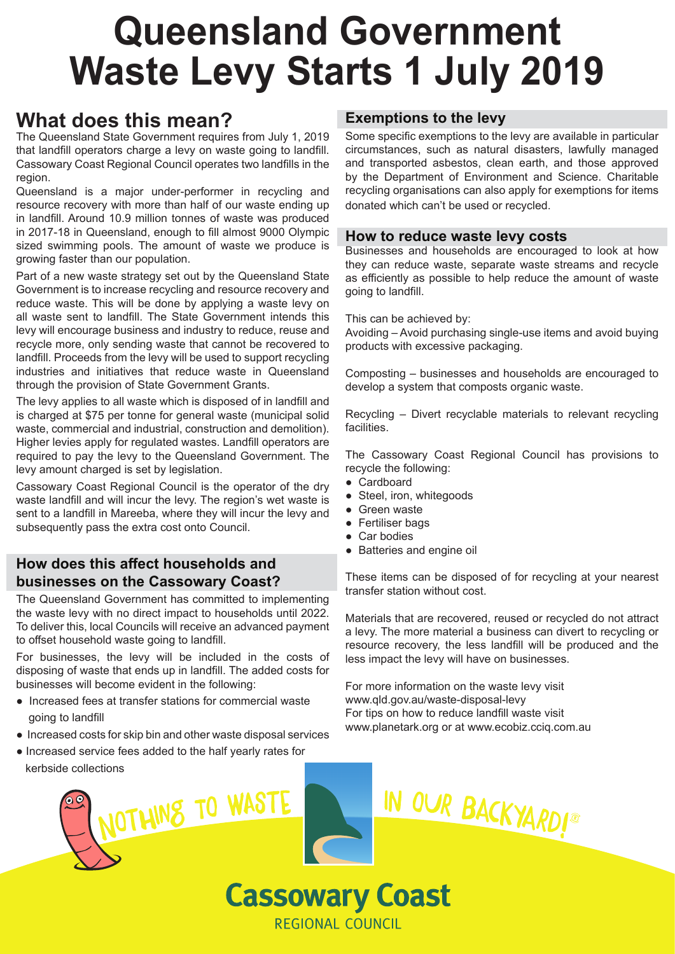# **Queensland Government Waste Levy Starts 1 July 2019**

# **What does this mean?**

The Queensland State Government requires from July 1, 2019 that landfill operators charge a levy on waste going to landfill. Cassowary Coast Regional Council operates two landfills in the region.

Queensland is a major under-performer in recycling and resource recovery with more than half of our waste ending up in landfill. Around 10.9 million tonnes of waste was produced in 2017-18 in Queensland, enough to fill almost 9000 Olympic sized swimming pools. The amount of waste we produce is growing faster than our population.

Part of a new waste strategy set out by the Queensland State Government is to increase recycling and resource recovery and reduce waste. This will be done by applying a waste levy on all waste sent to landfill. The State Government intends this levy will encourage business and industry to reduce, reuse and recycle more, only sending waste that cannot be recovered to landfill. Proceeds from the levy will be used to support recycling industries and initiatives that reduce waste in Queensland through the provision of State Government Grants.

The levy applies to all waste which is disposed of in landfill and is charged at \$75 per tonne for general waste (municipal solid waste, commercial and industrial, construction and demolition). Higher levies apply for regulated wastes. Landfill operators are required to pay the levy to the Queensland Government. The levy amount charged is set by legislation.

Cassowary Coast Regional Council is the operator of the dry waste landfill and will incur the levy. The region's wet waste is sent to a landfill in Mareeba, where they will incur the levy and subsequently pass the extra cost onto Council.

## **How does this affect households and businesses on the Cassowary Coast?**

The Queensland Government has committed to implementing the waste levy with no direct impact to households until 2022. To deliver this, local Councils will receive an advanced payment to offset household waste going to landfill.

For businesses, the levy will be included in the costs of disposing of waste that ends up in landfill. The added costs for businesses will become evident in the following:

- Increased fees at transfer stations for commercial waste going to landfill
- Increased costs for skip bin and other waste disposal services
- Increased service fees added to the half yearly rates for kerbside collections



# **Exemptions to the levy**

Some specific exemptions to the levy are available in particular circumstances, such as natural disasters, lawfully managed and transported asbestos, clean earth, and those approved by the Department of Environment and Science. Charitable recycling organisations can also apply for exemptions for items donated which can't be used or recycled.

### **How to reduce waste levy costs**

Businesses and households are encouraged to look at how they can reduce waste, separate waste streams and recycle as efficiently as possible to help reduce the amount of waste going to landfill.

#### This can be achieved by:

Avoiding – Avoid purchasing single-use items and avoid buying products with excessive packaging.

Composting – businesses and households are encouraged to develop a system that composts organic waste.

Recycling – Divert recyclable materials to relevant recycling facilities.

The Cassowary Coast Regional Council has provisions to recycle the following:

- Cardboard
- Steel, iron, whitegoods
- Green waste
- Fertiliser bags
- Car bodies

**Cassowary Coast** 

**REGIONAL COUNCIL** 

● Batteries and engine oil

These items can be disposed of for recycling at your nearest transfer station without cost.

Materials that are recovered, reused or recycled do not attract a levy. The more material a business can divert to recycling or resource recovery, the less landfill will be produced and the less impact the levy will have on businesses.

For more information on the waste levy visit www.qld.gov.au/waste-disposal-levy For tips on how to reduce landfill waste visit www.planetark.org or at www.ecobiz.cciq.com.au